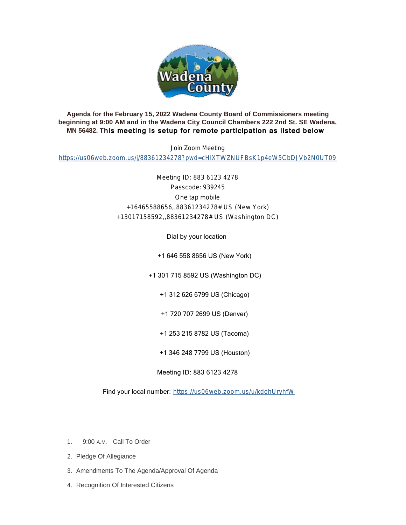

## **Agenda for the February 15, 2022 Wadena County Board of Commissioners meeting beginning at 9:00 AM and in the Wadena City Council Chambers 222 2nd St. SE Wadena, MN 56482. T**his meeting is setup for remote participation as listed below

Join Zoom Meeting

<https://us06web.zoom.us/j/88361234278?pwd=cHlXTWZNUFBsK1p4eW5CbDJVb2N0UT09>

Meeting ID: 883 6123 4278 Passcode: 939245 One tap mobile +16465588656,,88361234278# US (New York) +13017158592,,88361234278# US (Washington DC)

Dial by your location

+1 646 558 8656 US (New York)

+1 301 715 8592 US (Washington DC)

+1 312 626 6799 US (Chicago)

+1 720 707 2699 US (Denver)

+1 253 215 8782 US (Tacoma)

+1 346 248 7799 US (Houston)

Meeting ID: 883 6123 4278

Find your local number: <https://us06web.zoom.us/u/kdohUryhfW>

- 1. 9:00 A.M. Call To Order
- 2. Pledge Of Allegiance
- 3. Amendments To The Agenda/Approval Of Agenda
- 4. Recognition Of Interested Citizens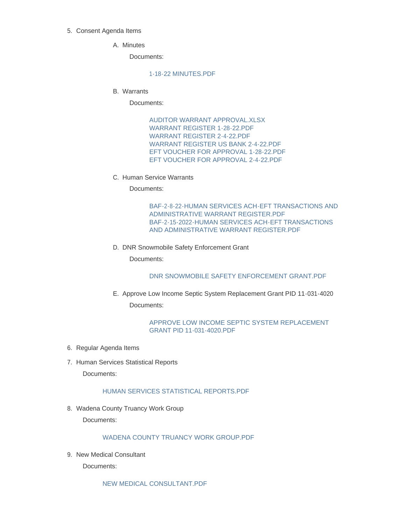#### 5. Consent Agenda Items

A. Minutes

Documents:

#### [1-18-22 MINUTES.PDF](http://mn-wadenacounty.civicplus.com/AgendaCenter/ViewFile/Item/4631?fileID=7061)

Warrants B.

Documents:

[AUDITOR WARRANT APPROVAL.XLSX](http://mn-wadenacounty.civicplus.com/AgendaCenter/ViewFile/Item/4759?fileID=7070) [WARRANT REGISTER 1-28-22.PDF](http://mn-wadenacounty.civicplus.com/AgendaCenter/ViewFile/Item/4759?fileID=7071) [WARRANT REGISTER 2-4-22.PDF](http://mn-wadenacounty.civicplus.com/AgendaCenter/ViewFile/Item/4759?fileID=7072) WARRANT REGISTER US BANK 2-4-22 PDF [EFT VOUCHER FOR APPROVAL 1-28-22.PDF](http://mn-wadenacounty.civicplus.com/AgendaCenter/ViewFile/Item/4759?fileID=7074) [EFT VOUCHER FOR APPROVAL 2-4-22.PDF](http://mn-wadenacounty.civicplus.com/AgendaCenter/ViewFile/Item/4759?fileID=7075)

C. Human Service Warrants

Documents:

[BAF-2-8-22-HUMAN SERVICES ACH-EFT TRANSACTIONS AND](http://mn-wadenacounty.civicplus.com/AgendaCenter/ViewFile/Item/4747?fileID=7056)  ADMINISTRATIVE WARRANT REGISTER.PDF [BAF-2-15-2022-HUMAN SERVICES ACH-EFT TRANSACTIONS](http://mn-wadenacounty.civicplus.com/AgendaCenter/ViewFile/Item/4747?fileID=7057)  AND ADMINISTRATIVE WARRANT REGISTER.PDF

D. DNR Snowmobile Safety Enforcement Grant

Documents:

[DNR SNOWMOBILE SAFETY ENFORCEMENT GRANT.PDF](http://mn-wadenacounty.civicplus.com/AgendaCenter/ViewFile/Item/4737?fileID=7047)

E. Approve Low Income Septic System Replacement Grant PID 11-031-4020 Documents:

## [APPROVE LOW INCOME SEPTIC SYSTEM REPLACEMENT](http://mn-wadenacounty.civicplus.com/AgendaCenter/ViewFile/Item/4749?fileID=7059)  GRANT PID 11-031-4020.PDF

- 6. Regular Agenda Items
- 7. Human Services Statistical Reports

Documents:

#### [HUMAN SERVICES STATISTICAL REPORTS.PDF](http://mn-wadenacounty.civicplus.com/AgendaCenter/ViewFile/Item/4750?fileID=7060)

8. Wadena County Truancy Work Group

Documents:

# [WADENA COUNTY TRUANCY WORK GROUP.PDF](http://mn-wadenacounty.civicplus.com/AgendaCenter/ViewFile/Item/4751?fileID=7062)

9. New Medical Consultant

Documents:

[NEW MEDICAL CONSULTANT.PDF](http://mn-wadenacounty.civicplus.com/AgendaCenter/ViewFile/Item/4754?fileID=7065)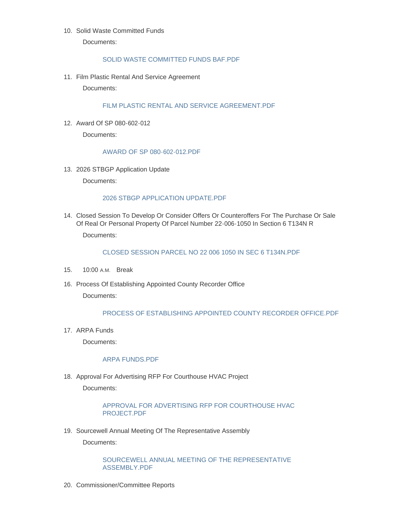## 10. Solid Waste Committed Funds

Documents:

## [SOLID WASTE COMMITTED FUNDS BAF.PDF](http://mn-wadenacounty.civicplus.com/AgendaCenter/ViewFile/Item/4748?fileID=7058)

11. Film Plastic Rental And Service Agreement

Documents:

## [FILM PLASTIC RENTAL AND SERVICE AGREEMENT.PDF](http://mn-wadenacounty.civicplus.com/AgendaCenter/ViewFile/Item/4753?fileID=7064)

Award Of SP 080-602-012 12.

Documents:

#### [AWARD OF SP 080-602-012.PDF](http://mn-wadenacounty.civicplus.com/AgendaCenter/ViewFile/Item/4745?fileID=7055)

13. 2026 STBGP Application Update

Documents:

#### [2026 STBGP APPLICATION UPDATE.PDF](http://mn-wadenacounty.civicplus.com/AgendaCenter/ViewFile/Item/4756?fileID=7067)

Closed Session To Develop Or Consider Offers Or Counteroffers For The Purchase Or Sale 14. Of Real Or Personal Property Of Parcel Number 22-006-1050 In Section 6 T134N R

Documents:

#### [CLOSED SESSION PARCEL NO 22 006 1050 IN SEC 6 T134N.PDF](http://mn-wadenacounty.civicplus.com/AgendaCenter/ViewFile/Item/4755?fileID=7066)

- 15. 10:00 A.M. Break
- 16. Process Of Establishing Appointed County Recorder Office

Documents:

#### [PROCESS OF ESTABLISHING APPOINTED COUNTY RECORDER OFFICE.PDF](http://mn-wadenacounty.civicplus.com/AgendaCenter/ViewFile/Item/4757?fileID=7068)

17. ARPA Funds

Documents:

#### [ARPA FUNDS.PDF](http://mn-wadenacounty.civicplus.com/AgendaCenter/ViewFile/Item/4760?fileID=7076)

18. Approval For Advertising RFP For Courthouse HVAC Project

Documents:

## [APPROVAL FOR ADVERTISING RFP FOR COURTHOUSE HVAC](http://mn-wadenacounty.civicplus.com/AgendaCenter/ViewFile/Item/4761?fileID=7077)  PROJECT.PDF

19. Sourcewell Annual Meeting Of The Representative Assembly

Documents:

## [SOURCEWELL ANNUAL MEETING OF THE REPRESENTATIVE](http://mn-wadenacounty.civicplus.com/AgendaCenter/ViewFile/Item/4752?fileID=7063)  ASSEMBLY.PDF

20. Commissioner/Committee Reports